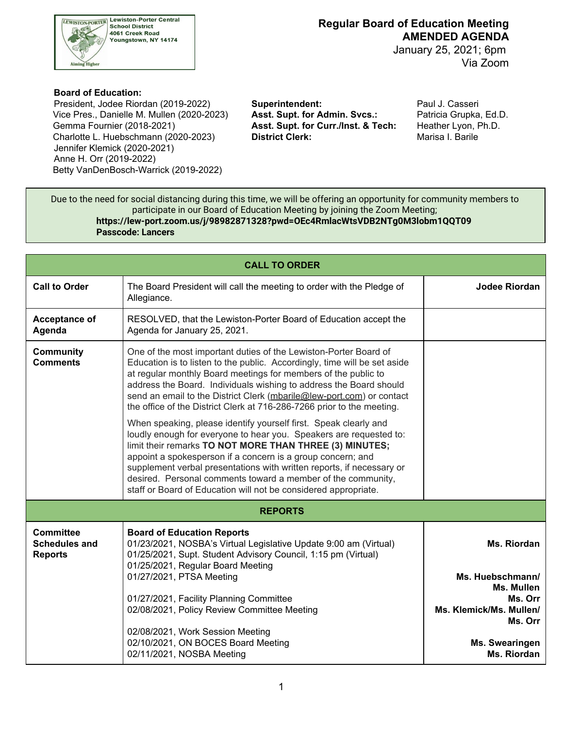

 January 25, 2021; 6pm Via Zoom

#### **Board of Education:**

 Vice Pres., Danielle M. Mullen (2020-2023) **Asst. Supt. for Admin. Svcs.:** Patricia Grupka, Ed.D. Gemma Fournier (2018-2021) Charlotte L. Huebschmann (2020-2023) **District Clerk:** Marisa I. Barile President, Jodee Riordan (2019-2022) **Superintendent:** Paul J. Casseri Jennifer Klemick (2020-2021) Anne H. Orr (2019-2022) Betty VanDenBosch-Warrick (2019-2022)

Asst. Supt. for Curr./Inst. & Tech: Heather Lyon, Ph.D.

 Due to the need for social distancing during this time, we will be offering an opportunity for community members to participate in our Board of Education Meeting by joining the Zoom Meeting; **<https://lew-port.zoom.us/j/98982871328?pwd=OEc4RmlacWtsVDB2NTg0M3lobm1QQT09> Passcode: Lancers**

| <b>CALL TO ORDER</b>                                       |                                                                                                                                                                                                                                                                                                                                                                                                                                                                                                                                                                                                                                                                                                                                                                                                                                                                                                                          |                                                             |  |  |  |  |
|------------------------------------------------------------|--------------------------------------------------------------------------------------------------------------------------------------------------------------------------------------------------------------------------------------------------------------------------------------------------------------------------------------------------------------------------------------------------------------------------------------------------------------------------------------------------------------------------------------------------------------------------------------------------------------------------------------------------------------------------------------------------------------------------------------------------------------------------------------------------------------------------------------------------------------------------------------------------------------------------|-------------------------------------------------------------|--|--|--|--|
| <b>Call to Order</b>                                       | The Board President will call the meeting to order with the Pledge of<br>Allegiance.                                                                                                                                                                                                                                                                                                                                                                                                                                                                                                                                                                                                                                                                                                                                                                                                                                     | <b>Jodee Riordan</b>                                        |  |  |  |  |
| Acceptance of<br>Agenda                                    | RESOLVED, that the Lewiston-Porter Board of Education accept the<br>Agenda for January 25, 2021.                                                                                                                                                                                                                                                                                                                                                                                                                                                                                                                                                                                                                                                                                                                                                                                                                         |                                                             |  |  |  |  |
| <b>Community</b><br><b>Comments</b>                        | One of the most important duties of the Lewiston-Porter Board of<br>Education is to listen to the public. Accordingly, time will be set aside<br>at regular monthly Board meetings for members of the public to<br>address the Board. Individuals wishing to address the Board should<br>send an email to the District Clerk (mbarile@lew-port.com) or contact<br>the office of the District Clerk at 716-286-7266 prior to the meeting.<br>When speaking, please identify yourself first. Speak clearly and<br>loudly enough for everyone to hear you. Speakers are requested to:<br>limit their remarks TO NOT MORE THAN THREE (3) MINUTES;<br>appoint a spokesperson if a concern is a group concern; and<br>supplement verbal presentations with written reports, if necessary or<br>desired. Personal comments toward a member of the community,<br>staff or Board of Education will not be considered appropriate. |                                                             |  |  |  |  |
| <b>REPORTS</b>                                             |                                                                                                                                                                                                                                                                                                                                                                                                                                                                                                                                                                                                                                                                                                                                                                                                                                                                                                                          |                                                             |  |  |  |  |
| <b>Committee</b><br><b>Schedules and</b><br><b>Reports</b> | <b>Board of Education Reports</b><br>01/23/2021, NOSBA's Virtual Legislative Update 9:00 am (Virtual)<br>01/25/2021, Supt. Student Advisory Council, 1:15 pm (Virtual)<br>01/25/2021, Regular Board Meeting<br>01/27/2021, PTSA Meeting                                                                                                                                                                                                                                                                                                                                                                                                                                                                                                                                                                                                                                                                                  | Ms. Riordan<br>Ms. Huebschmann/                             |  |  |  |  |
|                                                            | 01/27/2021, Facility Planning Committee<br>02/08/2021, Policy Review Committee Meeting                                                                                                                                                                                                                                                                                                                                                                                                                                                                                                                                                                                                                                                                                                                                                                                                                                   | Ms. Mullen<br>Ms. Orr<br>Ms. Klemick/Ms. Mullen/<br>Ms. Orr |  |  |  |  |
|                                                            | 02/08/2021, Work Session Meeting<br>02/10/2021, ON BOCES Board Meeting<br>02/11/2021, NOSBA Meeting                                                                                                                                                                                                                                                                                                                                                                                                                                                                                                                                                                                                                                                                                                                                                                                                                      | Ms. Swearingen<br>Ms. Riordan                               |  |  |  |  |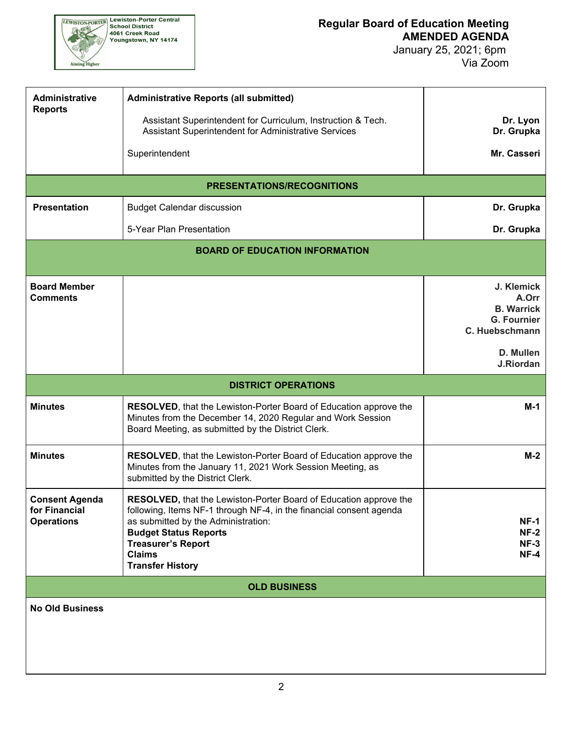

| <b>Administrative</b><br><b>Reports</b>                     | <b>Administrative Reports (all submitted)</b>                                                                                                                                                                                                       |                                                                                  |  |  |  |
|-------------------------------------------------------------|-----------------------------------------------------------------------------------------------------------------------------------------------------------------------------------------------------------------------------------------------------|----------------------------------------------------------------------------------|--|--|--|
|                                                             | Assistant Superintendent for Curriculum, Instruction & Tech.<br>Assistant Superintendent for Administrative Services                                                                                                                                | Dr. Lyon<br>Dr. Grupka                                                           |  |  |  |
|                                                             | Superintendent                                                                                                                                                                                                                                      | Mr. Casseri                                                                      |  |  |  |
|                                                             | <b>PRESENTATIONS/RECOGNITIONS</b>                                                                                                                                                                                                                   |                                                                                  |  |  |  |
| <b>Presentation</b>                                         | <b>Budget Calendar discussion</b>                                                                                                                                                                                                                   | Dr. Grupka                                                                       |  |  |  |
|                                                             | 5-Year Plan Presentation                                                                                                                                                                                                                            | Dr. Grupka                                                                       |  |  |  |
|                                                             | <b>BOARD OF EDUCATION INFORMATION</b>                                                                                                                                                                                                               |                                                                                  |  |  |  |
|                                                             |                                                                                                                                                                                                                                                     |                                                                                  |  |  |  |
| <b>Board Member</b><br><b>Comments</b>                      |                                                                                                                                                                                                                                                     | J. Klemick<br>A.Orr<br><b>B. Warrick</b><br><b>G. Fournier</b><br>C. Huebschmann |  |  |  |
|                                                             |                                                                                                                                                                                                                                                     | D. Mullen<br>J.Riordan                                                           |  |  |  |
| <b>DISTRICT OPERATIONS</b>                                  |                                                                                                                                                                                                                                                     |                                                                                  |  |  |  |
| <b>Minutes</b>                                              | RESOLVED, that the Lewiston-Porter Board of Education approve the<br>Minutes from the December 14, 2020 Regular and Work Session<br>Board Meeting, as submitted by the District Clerk.                                                              | M-1                                                                              |  |  |  |
| <b>Minutes</b>                                              | RESOLVED, that the Lewiston-Porter Board of Education approve the<br>Minutes from the January 11, 2021 Work Session Meeting, as<br>submitted by the District Clerk.                                                                                 | $M-2$                                                                            |  |  |  |
| <b>Consent Agenda</b><br>for Financial<br><b>Operations</b> | <b>RESOLVED, that the Lewiston-Porter Board of Education approve the</b><br>following, Items NF-1 through NF-4, in the financial consent agenda<br>as submitted by the Administration:<br><b>Budget Status Reports</b><br><b>Treasurer's Report</b> | <b>NF-1</b><br><b>NF-2</b><br>$NF-3$                                             |  |  |  |
|                                                             | <b>Claims</b><br><b>Transfer History</b>                                                                                                                                                                                                            | $NF-4$                                                                           |  |  |  |
|                                                             | <b>OLD BUSINESS</b>                                                                                                                                                                                                                                 |                                                                                  |  |  |  |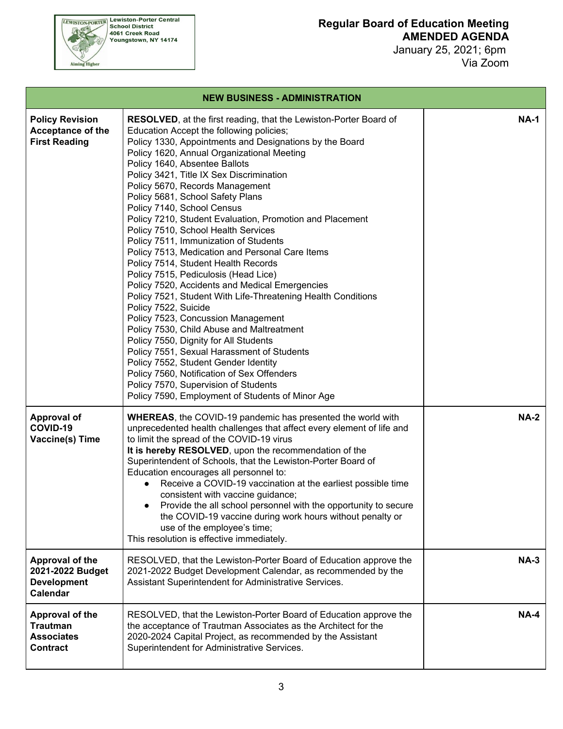| <b>NEW BUSINESS - ADMINISTRATION</b>                                              |                                                                                                                                                                                                                                                                                                                                                                                                                                                                                                                                                                                                                                                                                                                                                                                                                                                                                                                                                                                                                                                                                                                                                                                                     |             |  |  |  |
|-----------------------------------------------------------------------------------|-----------------------------------------------------------------------------------------------------------------------------------------------------------------------------------------------------------------------------------------------------------------------------------------------------------------------------------------------------------------------------------------------------------------------------------------------------------------------------------------------------------------------------------------------------------------------------------------------------------------------------------------------------------------------------------------------------------------------------------------------------------------------------------------------------------------------------------------------------------------------------------------------------------------------------------------------------------------------------------------------------------------------------------------------------------------------------------------------------------------------------------------------------------------------------------------------------|-------------|--|--|--|
| <b>Policy Revision</b><br><b>Acceptance of the</b><br><b>First Reading</b>        | <b>RESOLVED, at the first reading, that the Lewiston-Porter Board of</b><br>Education Accept the following policies;<br>Policy 1330, Appointments and Designations by the Board<br>Policy 1620, Annual Organizational Meeting<br>Policy 1640, Absentee Ballots<br>Policy 3421, Title IX Sex Discrimination<br>Policy 5670, Records Management<br>Policy 5681, School Safety Plans<br>Policy 7140, School Census<br>Policy 7210, Student Evaluation, Promotion and Placement<br>Policy 7510, School Health Services<br>Policy 7511, Immunization of Students<br>Policy 7513, Medication and Personal Care Items<br>Policy 7514, Student Health Records<br>Policy 7515, Pediculosis (Head Lice)<br>Policy 7520, Accidents and Medical Emergencies<br>Policy 7521, Student With Life-Threatening Health Conditions<br>Policy 7522, Suicide<br>Policy 7523, Concussion Management<br>Policy 7530, Child Abuse and Maltreatment<br>Policy 7550, Dignity for All Students<br>Policy 7551, Sexual Harassment of Students<br>Policy 7552, Student Gender Identity<br>Policy 7560, Notification of Sex Offenders<br>Policy 7570, Supervision of Students<br>Policy 7590, Employment of Students of Minor Age | <b>NA-1</b> |  |  |  |
| <b>Approval of</b><br>COVID-19<br><b>Vaccine(s) Time</b>                          | <b>WHEREAS, the COVID-19 pandemic has presented the world with</b><br>unprecedented health challenges that affect every element of life and<br>to limit the spread of the COVID-19 virus<br>It is hereby RESOLVED, upon the recommendation of the<br>Superintendent of Schools, that the Lewiston-Porter Board of<br>Education encourages all personnel to:<br>Receive a COVID-19 vaccination at the earliest possible time<br>$\bullet$<br>consistent with vaccine guidance;<br>Provide the all school personnel with the opportunity to secure<br>the COVID-19 vaccine during work hours without penalty or<br>use of the employee's time;<br>This resolution is effective immediately.                                                                                                                                                                                                                                                                                                                                                                                                                                                                                                           | <b>NA-2</b> |  |  |  |
| <b>Approval of the</b><br>2021-2022 Budget<br><b>Development</b><br>Calendar      | RESOLVED, that the Lewiston-Porter Board of Education approve the<br>2021-2022 Budget Development Calendar, as recommended by the<br>Assistant Superintendent for Administrative Services.                                                                                                                                                                                                                                                                                                                                                                                                                                                                                                                                                                                                                                                                                                                                                                                                                                                                                                                                                                                                          | <b>NA-3</b> |  |  |  |
| <b>Approval of the</b><br><b>Trautman</b><br><b>Associates</b><br><b>Contract</b> | RESOLVED, that the Lewiston-Porter Board of Education approve the<br>the acceptance of Trautman Associates as the Architect for the<br>2020-2024 Capital Project, as recommended by the Assistant<br>Superintendent for Administrative Services.                                                                                                                                                                                                                                                                                                                                                                                                                                                                                                                                                                                                                                                                                                                                                                                                                                                                                                                                                    | <b>NA-4</b> |  |  |  |

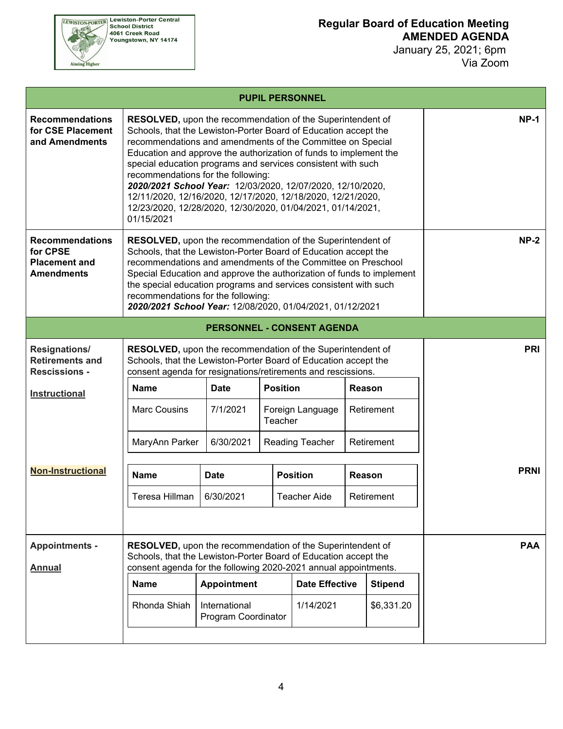

|                                                                                 |                                                                                                                                                                                                                                                                                                                                                                                                                                                                                                                                                                                         |                                   |                 | <b>PUPIL PERSONNEL</b> |  |                |             |
|---------------------------------------------------------------------------------|-----------------------------------------------------------------------------------------------------------------------------------------------------------------------------------------------------------------------------------------------------------------------------------------------------------------------------------------------------------------------------------------------------------------------------------------------------------------------------------------------------------------------------------------------------------------------------------------|-----------------------------------|-----------------|------------------------|--|----------------|-------------|
| <b>Recommendations</b><br>for CSE Placement<br>and Amendments                   | <b>RESOLVED, upon the recommendation of the Superintendent of</b><br>Schools, that the Lewiston-Porter Board of Education accept the<br>recommendations and amendments of the Committee on Special<br>Education and approve the authorization of funds to implement the<br>special education programs and services consistent with such<br>recommendations for the following:<br>2020/2021 School Year: 12/03/2020, 12/07/2020, 12/10/2020,<br>12/11/2020, 12/16/2020, 12/17/2020, 12/18/2020, 12/21/2020,<br>12/23/2020, 12/28/2020, 12/30/2020, 01/04/2021, 01/14/2021,<br>01/15/2021 |                                   |                 |                        |  | $NP-1$         |             |
| <b>Recommendations</b><br>for CPSE<br><b>Placement and</b><br><b>Amendments</b> | <b>RESOLVED, upon the recommendation of the Superintendent of</b><br>Schools, that the Lewiston-Porter Board of Education accept the<br>recommendations and amendments of the Committee on Preschool<br>Special Education and approve the authorization of funds to implement<br>the special education programs and services consistent with such<br>recommendations for the following:<br>2020/2021 School Year: 12/08/2020, 01/04/2021, 01/12/2021                                                                                                                                    |                                   |                 |                        |  |                | $NP-2$      |
|                                                                                 |                                                                                                                                                                                                                                                                                                                                                                                                                                                                                                                                                                                         | <b>PERSONNEL - CONSENT AGENDA</b> |                 |                        |  |                |             |
| <b>Resignations/</b><br><b>Retirements and</b><br><b>Rescissions -</b>          | <b>RESOLVED, upon the recommendation of the Superintendent of</b><br>Schools, that the Lewiston-Porter Board of Education accept the<br>consent agenda for resignations/retirements and rescissions.                                                                                                                                                                                                                                                                                                                                                                                    |                                   |                 |                        |  |                | <b>PRI</b>  |
| <b>Instructional</b>                                                            | <b>Name</b>                                                                                                                                                                                                                                                                                                                                                                                                                                                                                                                                                                             | <b>Date</b>                       | <b>Position</b> |                        |  | Reason         |             |
|                                                                                 | <b>Marc Cousins</b><br>7/1/2021<br>Foreign Language<br>Retirement<br>Teacher                                                                                                                                                                                                                                                                                                                                                                                                                                                                                                            |                                   |                 |                        |  |                |             |
|                                                                                 | MaryAnn Parker<br>6/30/2021                                                                                                                                                                                                                                                                                                                                                                                                                                                                                                                                                             | <b>Reading Teacher</b>            |                 | Retirement             |  |                |             |
| <b>Non-Instructional</b>                                                        | <b>Name</b>                                                                                                                                                                                                                                                                                                                                                                                                                                                                                                                                                                             | <b>Date</b>                       |                 | <b>Position</b>        |  | Reason         | <b>PRNI</b> |
|                                                                                 | Teresa Hillman                                                                                                                                                                                                                                                                                                                                                                                                                                                                                                                                                                          | 6/30/2021                         |                 | <b>Teacher Aide</b>    |  | Retirement     |             |
|                                                                                 |                                                                                                                                                                                                                                                                                                                                                                                                                                                                                                                                                                                         |                                   |                 |                        |  |                |             |
| <b>Appointments -</b><br><b>Annual</b>                                          | <b>RESOLVED, upon the recommendation of the Superintendent of</b><br>Schools, that the Lewiston-Porter Board of Education accept the<br>consent agenda for the following 2020-2021 annual appointments.                                                                                                                                                                                                                                                                                                                                                                                 |                                   |                 |                        |  |                | <b>PAA</b>  |
|                                                                                 | <b>Name</b>                                                                                                                                                                                                                                                                                                                                                                                                                                                                                                                                                                             | <b>Appointment</b>                |                 | <b>Date Effective</b>  |  | <b>Stipend</b> |             |
|                                                                                 | Rhonda Shiah<br>\$6,331.20<br>International<br>1/14/2021<br>Program Coordinator                                                                                                                                                                                                                                                                                                                                                                                                                                                                                                         |                                   |                 |                        |  |                |             |
|                                                                                 |                                                                                                                                                                                                                                                                                                                                                                                                                                                                                                                                                                                         |                                   |                 |                        |  |                |             |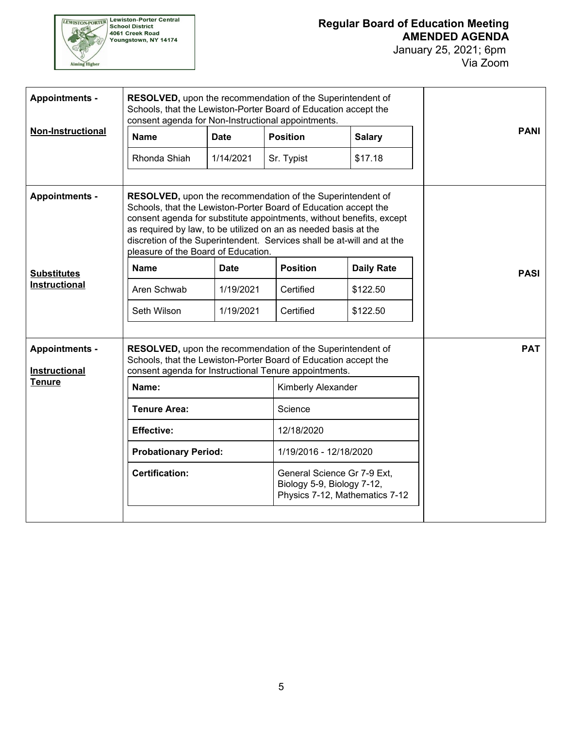

| <b>Appointments -</b>                         | <b>RESOLVED, upon the recommendation of the Superintendent of</b><br>Schools, that the Lewiston-Porter Board of Education accept the<br>consent agenda for Non-Instructional appointments.                                                                                                                                                                                                       |             |                                                                                             |                   |             |
|-----------------------------------------------|--------------------------------------------------------------------------------------------------------------------------------------------------------------------------------------------------------------------------------------------------------------------------------------------------------------------------------------------------------------------------------------------------|-------------|---------------------------------------------------------------------------------------------|-------------------|-------------|
| <b>Non-Instructional</b>                      | <b>Name</b>                                                                                                                                                                                                                                                                                                                                                                                      | <b>Date</b> | <b>Position</b>                                                                             | <b>Salary</b>     | <b>PANI</b> |
|                                               | Rhonda Shiah                                                                                                                                                                                                                                                                                                                                                                                     | 1/14/2021   | Sr. Typist                                                                                  | \$17.18           |             |
| <b>Appointments -</b>                         | <b>RESOLVED, upon the recommendation of the Superintendent of</b><br>Schools, that the Lewiston-Porter Board of Education accept the<br>consent agenda for substitute appointments, without benefits, except<br>as required by law, to be utilized on an as needed basis at the<br>discretion of the Superintendent. Services shall be at-will and at the<br>pleasure of the Board of Education. |             |                                                                                             |                   |             |
| <b>Substitutes</b>                            | <b>Name</b>                                                                                                                                                                                                                                                                                                                                                                                      | <b>Date</b> | <b>Position</b>                                                                             | <b>Daily Rate</b> | <b>PASI</b> |
| <b>Instructional</b>                          | Aren Schwab                                                                                                                                                                                                                                                                                                                                                                                      | 1/19/2021   | Certified                                                                                   | \$122.50          |             |
|                                               | Seth Wilson                                                                                                                                                                                                                                                                                                                                                                                      | 1/19/2021   | Certified                                                                                   | \$122.50          |             |
| <b>Appointments -</b><br><b>Instructional</b> | <b>RESOLVED, upon the recommendation of the Superintendent of</b><br>Schools, that the Lewiston-Porter Board of Education accept the<br>consent agenda for Instructional Tenure appointments.                                                                                                                                                                                                    | <b>PAT</b>  |                                                                                             |                   |             |
| <b>Tenure</b>                                 | Name:                                                                                                                                                                                                                                                                                                                                                                                            |             | Kimberly Alexander                                                                          |                   |             |
|                                               | <b>Tenure Area:</b>                                                                                                                                                                                                                                                                                                                                                                              |             | Science                                                                                     |                   |             |
|                                               | <b>Effective:</b>                                                                                                                                                                                                                                                                                                                                                                                |             | 12/18/2020                                                                                  |                   |             |
|                                               | <b>Probationary Period:</b>                                                                                                                                                                                                                                                                                                                                                                      |             | 1/19/2016 - 12/18/2020                                                                      |                   |             |
|                                               | <b>Certification:</b>                                                                                                                                                                                                                                                                                                                                                                            |             | General Science Gr 7-9 Ext,<br>Biology 5-9, Biology 7-12,<br>Physics 7-12, Mathematics 7-12 |                   |             |
|                                               |                                                                                                                                                                                                                                                                                                                                                                                                  |             |                                                                                             |                   |             |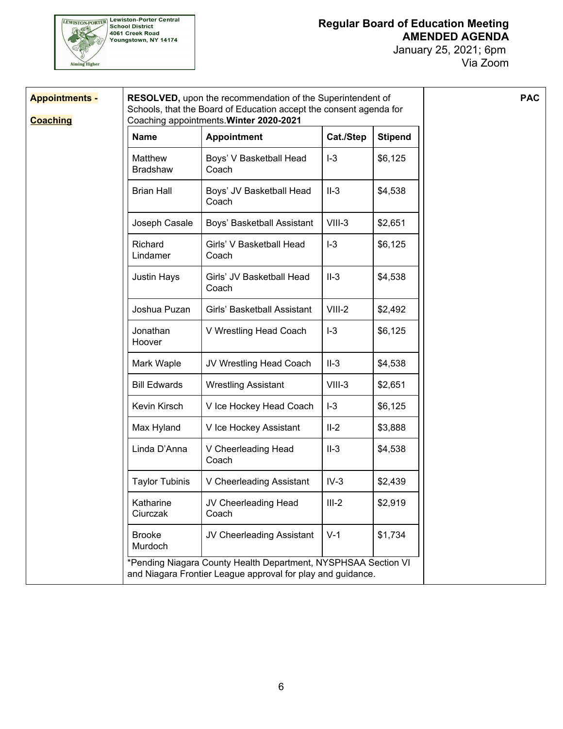

| <b>Appointments -</b><br><b>Coaching</b> |                            | RESOLVED, upon the recommendation of the Superintendent of<br>Schools, that the Board of Education accept the consent agenda for<br>Coaching appointments. Winter 2020-2021 |          |         | <b>PAC</b> |
|------------------------------------------|----------------------------|-----------------------------------------------------------------------------------------------------------------------------------------------------------------------------|----------|---------|------------|
|                                          | <b>Name</b>                | Cat./Step<br><b>Stipend</b><br><b>Appointment</b>                                                                                                                           |          |         |            |
|                                          | Matthew<br><b>Bradshaw</b> | Boys' V Basketball Head<br>Coach                                                                                                                                            | $I-3$    | \$6,125 |            |
|                                          | <b>Brian Hall</b>          | Boys' JV Basketball Head<br>Coach                                                                                                                                           | $II-3$   | \$4,538 |            |
|                                          | Joseph Casale              | Boys' Basketball Assistant                                                                                                                                                  | $VIII-3$ | \$2,651 |            |
|                                          | Richard<br>Lindamer        | Girls' V Basketball Head<br>Coach                                                                                                                                           | $I-3$    | \$6,125 |            |
|                                          | <b>Justin Hays</b>         | Girls' JV Basketball Head<br>Coach                                                                                                                                          | $II-3$   | \$4,538 |            |
|                                          | Joshua Puzan               | Girls' Basketball Assistant                                                                                                                                                 | $VIII-2$ | \$2,492 |            |
|                                          | Jonathan<br>Hoover         | V Wrestling Head Coach                                                                                                                                                      | $I-3$    | \$6,125 |            |
|                                          | Mark Waple                 | JV Wrestling Head Coach                                                                                                                                                     | $II-3$   | \$4,538 |            |
|                                          | <b>Bill Edwards</b>        | <b>Wrestling Assistant</b>                                                                                                                                                  | $VIII-3$ | \$2,651 |            |
|                                          | Kevin Kirsch               | V Ice Hockey Head Coach                                                                                                                                                     | $I-3$    | \$6,125 |            |
|                                          | Max Hyland                 | V Ice Hockey Assistant                                                                                                                                                      | $II-2$   | \$3,888 |            |
|                                          | Linda D'Anna               | V Cheerleading Head<br>Coach                                                                                                                                                | $II-3$   | \$4,538 |            |
|                                          | <b>Taylor Tubinis</b>      | V Cheerleading Assistant                                                                                                                                                    | $IV-3$   | \$2,439 |            |
|                                          | Katharine<br>Ciurczak      | JV Cheerleading Head<br>Coach                                                                                                                                               | $III-2$  | \$2,919 |            |
|                                          | <b>Brooke</b><br>Murdoch   | JV Cheerleading Assistant                                                                                                                                                   | $V-1$    | \$1,734 |            |
|                                          |                            | *Pending Niagara County Health Department, NYSPHSAA Section VI<br>and Niagara Frontier League approval for play and guidance.                                               |          |         |            |